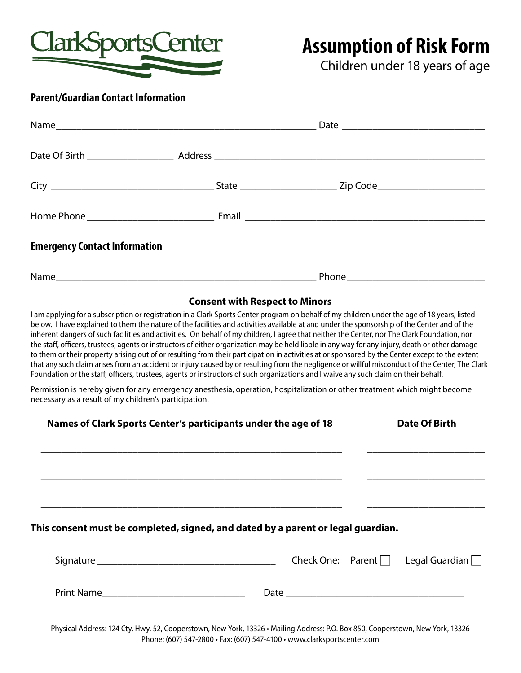

# **Assumption of Risk Form**

Children under 18 years of age

### **Parent/Guardian Contact Information**

| <b>Emergency Contact Information</b> |                                |  |
|--------------------------------------|--------------------------------|--|
|                                      |                                |  |
|                                      | Consent with Despeat to Mineus |  |

#### **Consent with Respect to Minors**

I am applying for a subscription or registration in a Clark Sports Center program on behalf of my children under the age of 18 years, listed below. I have explained to them the nature of the facilities and activities available at and under the sponsorship of the Center and of the inherent dangers of such facilities and activities. On behalf of my children, I agree that neither the Center, nor The Clark Foundation, nor the staff, officers, trustees, agents or instructors of either organization may be held liable in any way for any injury, death or other damage to them or their property arising out of or resulting from their participation in activities at or sponsored by the Center except to the extent that any such claim arises from an accident or injury caused by or resulting from the negligence or willful misconduct of the Center, The Clark Foundation or the staff, officers, trustees, agents or instructors of such organizations and I waive any such claim on their behalf.

Permission is hereby given for any emergency anesthesia, operation, hospitalization or other treatment which might become necessary as a result of my children's participation.

| Names of Clark Sports Center's participants under the age of 18                  |  | <b>Date Of Birth</b> |  |                                                |
|----------------------------------------------------------------------------------|--|----------------------|--|------------------------------------------------|
|                                                                                  |  |                      |  |                                                |
| This consent must be completed, signed, and dated by a parent or legal guardian. |  |                      |  |                                                |
|                                                                                  |  |                      |  | Check One: Parent $\Box$ Legal Guardian $\Box$ |
|                                                                                  |  |                      |  |                                                |

Physical Address: 124 Cty. Hwy. 52, Cooperstown, New York, 13326 • Mailing Address: P.O. Box 850, Cooperstown, New York, 13326 Phone: (607) 547-2800 • Fax: (607) 547-4100 • www.clarksportscenter.com